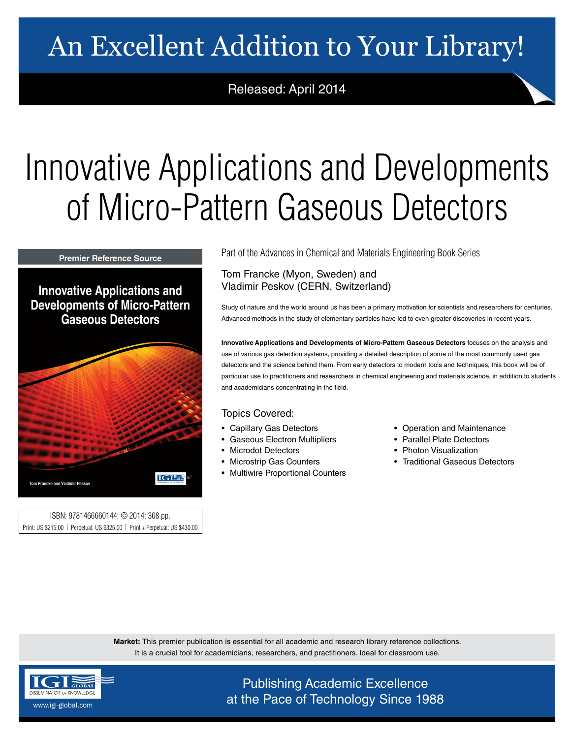## An Excellent Addition to Your Library!

Released: April 2014

## Innovative Applications and Developments of Micro-Pattern Gaseous Detectors

**Premier Reference Source** 

**Innovative Applications and Developments of Micro-Pattern Gaseous Detectors** 



ISBN: 9781466660144; © 2014; 308 pp. Print: US \$215.00 | Perpetual: US \$325.00 | Print + Perpetual: US \$430.00 Part of the Advances in Chemical and Materials Engineering Book Series

Tom Francke (Myon, Sweden) and Vladimir Peskov (CERN, Switzerland)

Study of nature and the world around us has been a primary motivation for scientists and researchers for centuries. Advanced methods in the study of elementary particles have led to even greater discoveries in recent years.

**Innovative Applications and Developments of Micro-Pattern Gaseous Detectors** focuses on the analysis and use of various gas detection systems, providing a detailed description of some of the most commonly used gas detectors and the science behind them. From early detectors to modern tools and techniques, this book will be of particular use to practitioners and researchers in chemical engineering and materials science, in addition to students and academicians concentrating in the field.

## Topics Covered:

- Capillary Gas Detectors
- Gaseous Electron Multipliers
- Microdot Detectors
- Microstrip Gas Counters
- Multiwire Proportional Counters
- Operation and Maintenance
- Parallel Plate Detectors
- Photon Visualization
- Traditional Gaseous Detectors

**Market:** This premier publication is essential for all academic and research library reference collections. It is a crucial tool for academicians, researchers, and practitioners. Ideal for classroom use.



Publishing Academic Excellence  $\frac{\text{SEMNALOCE}}{\text{SEMNALOCE}}$  at the Pace of Technology Since 1988